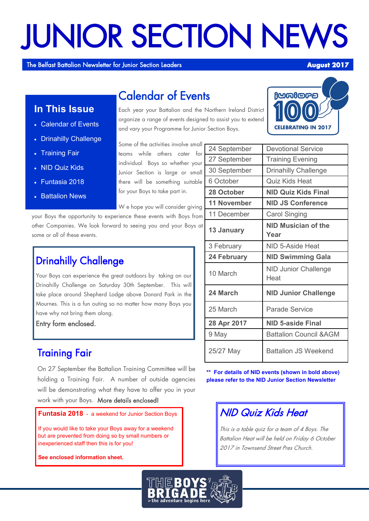# JUNIOR SECTION NEWS

The Belfast Battalion Newsletter for Junior Section Leaders **August 2017** 

## **In This Issue**

- Calendar of Events
- Drinahilly Challenge
- Training Fair
- NID Quiz Kids
- Funtasia 2018
- **Battalion News**

Each year your Battalion and the Northern Ireland District organize a range of events designed to assist you to extend and vary your Programme for Junior Section Boys.

Some of the activities involve small teams while others cater for individual Boys so whether your Junior Section is large or small there will be something suitable for your Boys to take part in.

Calendar of Events

W e hope you will consider giving

your Boys the opportunity to experience these events with Boys from other Companies. We look forward to seeing you and your Boys at some or all of these events.

## Drinahilly Challenge

Your Boys can experience the great outdoors by taking on our Drinahilly Challenge on Saturday 30th September. This will take place around Shepherd Lodge above Donard Park in the Mournes. This is a fun outing so no matter how many Boys you have why not bring them along.

Entry form enclosed.

## Training Fair

On 27 September the Battalion Training Committee will be holding a Training Fair. A number of outside agencies will be demonstrating what they have to offer you in your work with your Boys. More details enclosed!

**Funtasia 2018** - a weekend for Junior Section Boys

If you would like to take your Boys away for a weekend but are prevented from doing so by small numbers or inexperienced staff then this is for you!

**See enclosed information sheet.**



| 24 September       | <b>Devotional Service</b>           |
|--------------------|-------------------------------------|
| 27 September       | <b>Training Evening</b>             |
| 30 September       | <b>Drinahilly Challenge</b>         |
| 6 October          | Quiz Kids Heat                      |
| 28 October         | <b>NID Quiz Kids Final</b>          |
| <b>11 November</b> | <b>NID JS Conference</b>            |
| 11 December        | <b>Carol Singing</b>                |
| 13 January         | NID Musician of the<br>Year         |
| 3 February         | NID 5-Aside Heat                    |
| <b>24 February</b> | <b>NID Swimming Gala</b>            |
| 10 March           | <b>NID Junior Challenge</b><br>Heat |
| 24 March           | <b>NID Junior Challenge</b>         |
| 25 March           | <b>Parade Service</b>               |
| 28 Apr 2017        | <b>NID 5-aside Final</b>            |
| 9 May              | <b>Battalion Council &amp; AGM</b>  |
| 25/27 May          | <b>Battalion JS Weekend</b>         |

**\*\* For details of NID events (shown in bold above) please refer to the NID Junior Section Newsletter**

## NID Quiz Kids Heat

This is a table quiz for a team of 4 Boys. The Battalion Heat will be held on Friday 6 October 2017 in Townsend Street Pres Church.